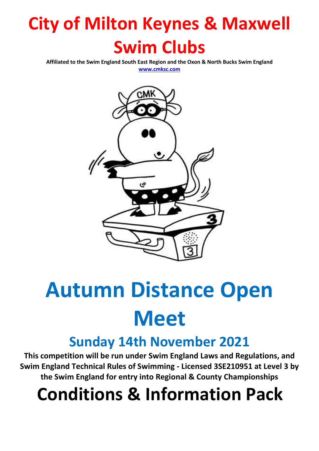# **City of Milton Keynes & Maxwell Swim Clubs**

**Affiliated to the Swim England South East Region and the Oxon & North Bucks Swim England**

**[www.cmksc.com](http://www.cmksc.com/)**



# **Autumn Distance Open Meet**

### **Sunday 14th November 2021**

**This competition will be run under Swim England Laws and Regulations, and Swim England Technical Rules of Swimming - Licensed 3SE210951 at Level 3 by the Swim England for entry into Regional & County Championships**

# **Conditions & Information Pack**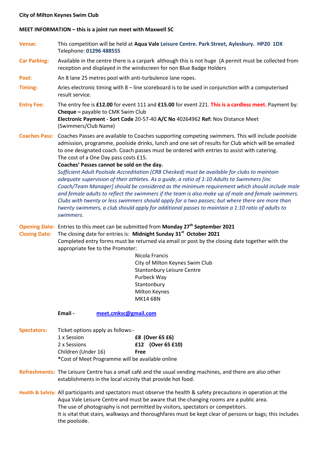#### **City of Milton Keynes Swim Club**

#### **MEET INFORMATION – this is a joint run meet with Maxwell SC**

- **Venue:** This competition will be held at **Aqua Vale Leisure Centre. Park Street, Aylesbury. HP20 1DX** Telephone: **01296 488555**
- **Car Parking:** Available in the centre there is a carpark although this is not huge (A permit must be collected from reception and displayed in the windscreen for non Blue Badge Holders
- **Pool:** An 8 lane 25 metres pool with anti-turbulence lane ropes.
- **Timing:** Aries electronic timing with 8 line scoreboard is to be used in conjunction with a computerised result service.
- **Entry Fee:** The entry fee is **£12.00** for event 111 and **£15.00** for event 221. **This is a cardless meet.** Payment by: **Cheque –** payable to CMK Swim Club **Electronic Payment - Sort Code** 20-57-40 **A/C No** 40264962 **Ref:** Nov Distance Meet (Swimmers/Club Name)
- **Coaches Pass:** Coaches Passes are available to Coaches supporting competing swimmers. This will include poolside admission, programme, poolside drinks, lunch and one set of results for Club which will be emailed to one designated coach. Coach passes must be ordered with entries to assist with catering. The cost of a One Day pass costs £15.

#### **Coaches' Passes cannot be sold on the day.**

*Sufficient Adult Poolside Accreditation (CRB Checked) must be available for clubs to maintain adequate supervision of their athletes. As a guide, a ratio of 1:10 Adults to Swimmers [inc Coach/Team Manager] should be considered as the minimum requirement which should include male and female adults to reflect the swimmers if the team is also make up of male and female swimmers. Clubs with twenty or less swimmers should apply for a two passes; but where there are more than twenty swimmers, a club should apply for additional passes to maintain a 1:10 ratio of adults to swimmers.*

**Opening Date:** Entries to this meet can be submitted from **Monday 27th September 2021**

**Closing Date:** The closing date for entries is: **Midnight Sunday 31st October 2021**

Completed entry forms must be returned via email or post by the closing date together with the appropriate fee to the Promoter:

> Nicola Francis City of Milton Keynes Swim Club Stantonbury Leisure Centre Purbeck Way **Stantonbury** Milton Keynes MK14 6BN

#### **Email - [meet.cmksc@gmail.com](mailto:meet.cmksc@gmail.com)**

- **Spectators:** Ticket options apply as follows:- 1 x Session **£8 (Over 65 £6)** 2 x Sessions **£12 (Over 65 £10)**
	- Children (Under 16) **Free**
	- **\***Cost of Meet Programme will be available online

**Refreshments:** The Leisure Centre has a small café and the usual vending machines, and there are also other establishments in the local vicinity that provide hot food.

**Health & Safety:** All participants and spectators must observe the health & safety precautions in operation at the Aqua Vale Leisure Centre and must be aware that the changing rooms are a public area. The use of photography is not permitted by visitors, spectators or competitors. It is vital that stairs, walkways and thoroughfares must be kept clear of persons or bags; this includes the poolside.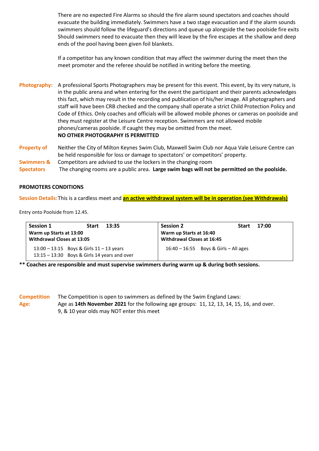There are no expected Fire Alarms so should the fire alarm sound spectators and coaches should evacuate the building immediately. Swimmers have a two stage evacuation and if the alarm sounds swimmers should follow the lifeguard's directions and queue up alongside the two poolside fire exits Should swimmers need to evacuate then they will leave by the fire escapes at the shallow and deep ends of the pool having been given foil blankets.

If a competitor has any known condition that may affect the swimmer during the meet then the meet promoter and the referee should be notified in writing before the meeting.

**Photography:** A professional Sports Photographers may be present for this event. This event, by its very nature, is in the public arena and when entering for the event the participant and their parents acknowledges this fact, which may result in the recording and publication of his/her image. All photographers and staff will have been CRB checked and the company shall operate a strict Child Protection Policy and Code of Ethics. Only coaches and officials will be allowed mobile phones or cameras on poolside and they must register at the Leisure Centre reception. Swimmers are not allowed mobile phones/cameras poolside. If caught they may be omitted from the meet. **NO OTHER PHOTOGRAPHY IS PERMITTED**

- **Property of** Neither the City of Milton Keynes Swim Club, Maxwell Swim Club nor Aqua Vale Leisure Centre can be held responsible for loss or damage to spectators' or competitors' property.
- **Swimmers &** Competitors are advised to use the lockers in the changing room
- **Spectators** The changing rooms are a public area. **Large swim bags will not be permitted on the poolside.**

#### **PROMOTERS CONDITIONS**

**Session Details:**This is a cardless meet and **an active withdrawal system will be in operation (see Withdrawals)**

Entry onto Poolside from 12.45.

| Session 1<br>13:35<br><b>Start</b>             | <b>Session 2</b><br>17:00<br><b>Start</b> |
|------------------------------------------------|-------------------------------------------|
| Warm up Starts at 13:00                        | Warm up Starts at 16:40                   |
| Withdrawal Closes at 13:05                     | Withdrawal Closes at 16:45                |
| $13:00 - 13:15$ Boys & Girls $11 - 13$ years   | $16:40 - 16:55$ Boys & Girls - All ages   |
| $13:15 - 13:30$ Boys & Girls 14 years and over |                                           |

**\*\* Coaches are responsible and must supervise swimmers during warm up & during both sessions.**

**Competition** The Competition is open to swimmers as defined by the Swim England Laws: **Age:** Age as **14th November 2021** for the following age groups: 11, 12, 13, 14, 15, 16, and over. 9, & 10 year olds may NOT enter this meet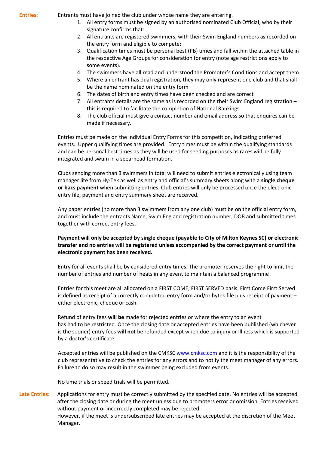**Entries:** Entrants must have joined the club under whose name they are entering.

- 1. All entry forms must be signed by an authorised nominated Club Official, who by their signature confirms that:
- 2. All entrants are registered swimmers, with their Swim England numbers as recorded on the entry form and eligible to compete;
- 3. Qualification times must be personal best (PB) times and fall within the attached table in the respective Age Groups for consideration for entry (note age restrictions apply to some events).
- 4. The swimmers have all read and understood the Promoter's Conditions and accept them
- 5. Where an entrant has dual registration, they may only represent one club and that shall be the name nominated on the entry form
- 6. The dates of birth and entry times have been checked and are correct
- 7. All entrants details are the same as is recorded on the their Swim England registration this is required to facilitate the completion of National Rankings
- 8. The club official must give a contact number and email address so that enquires can be made if necessary.

Entries must be made on the Individual Entry Forms for this competition, indicating preferred events. Upper qualifying times are provided.Entry times must be within the qualifying standards and can be personal best times as they will be used for seeding purposes as races will be fully integrated and swum in a spearhead formation.

Clubs sending more than 3 swimmers in total will need to submit entries electronically using team manager lite from Hy-Tek as well as entry and official's summary sheets along with a **single cheque or bacs payment** when submitting entries. Club entries will only be processed once the electronic entry file, payment and entry summary sheet are received.

Any paper entries (no more than 3 swimmers from any one club) must be on the official entry form, and must include the entrants Name, Swim England registration number, DOB and submitted times together with correct entry fees.

#### **Payment will only be accepted by single cheque (payable to City of Milton Keynes SC) or electronic transfer and no entries will be registered unless accompanied by the correct payment or until the electronic payment has been received.**

Entry for all events shall be by considered entry times. The promoter reserves the right to limit the number of entries and number of heats in any event to maintain a balanced programme .

Entries for this meet are all allocated on a FIRST COME, FIRST SERVED basis. First Come First Served is defined as receipt of a correctly completed entry form and/or hytek file plus receipt of payment – either electronic, cheque or cash.

Refund of entry fees **will be** made for rejected entries or where the entry to an event has had to be restricted. Once the closing date or accepted entries have been published (whichever is the sooner) entry fees **will not** be refunded except when due to injury or illness which is supported by a doctor's certificate.

Accepted entries will be published on the CMKS[C www.cmksc.com](http://www.cmksc.com/) and it is the responsibility of the club representative to check the entries for any errors and to notify the meet manager of any errors. Failure to do so may result in the swimmer being excluded from events.

No time trials or speed trials will be permitted.

**Late Entries:** Applications for entry must be correctly submitted by the specified date. No entries will be accepted after the closing date or during the meet unless due to promoters error or omission. Entries received without payment or incorrectly completed may be rejected. However, if the meet is undersubscribed late entries may be accepted at the discretion of the Meet Manager.